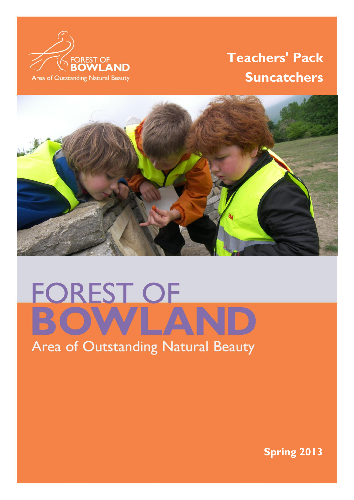

# **Teachers' Pack Suncatchers**



# **FOREST OF**

# Area of Outstanding Natural Beauty

 $\mathbb{F}_q$  is a strong state of  $\mathbb{F}_q$  of  $\mathbb{F}_q$  . The strong state of  $\mathbb{F}_q$  is a strong state of  $\mathbb{F}_q$ 

**Spring 2013**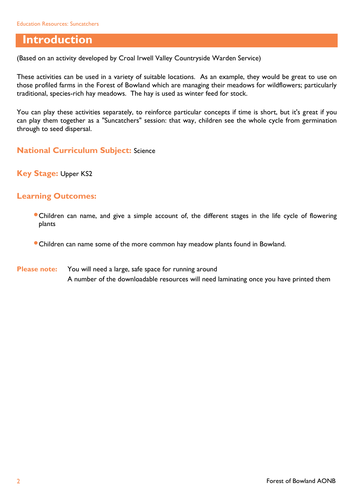## **Introduction**

(Based on an activity developed by Croal Irwell Valley Countryside Warden Service)

These activities can be used in a variety of suitable locations. As an example, they would be great to use on those profiled farms in the Forest of Bowland which are managing their meadows for wildflowers; particularly traditional, species-rich hay meadows. The hay is used as winter feed for stock.

You can play these activities separately, to reinforce particular concepts if time is short, but it's great if you can play them together as a "Suncatchers" session: that way, children see the whole cycle from germination through to seed dispersal.

**National Curriculum Subject:** Science

**Key Stage:** Upper KS2

#### **Learning Outcomes:**

- Children can name, and give a simple account of, the different stages in the life cycle of flowering plants
- Children can name some of the more common hay meadow plants found in Bowland.
- **Please note:** You will need a large, safe space for running around A number of the downloadable resources will need laminating once you have printed them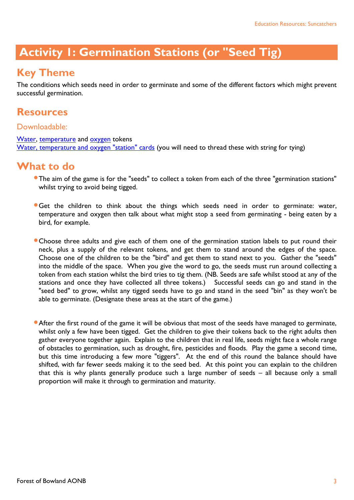## **Activity 1: Germination Stations (or "Seed Tig)**

## **Key Theme**

The conditions which seeds need in order to germinate and some of the different factors which might prevent successful germination.

#### **Resources**

#### Downloadable:

[Water,](http://www.forestofbowland.com/files/uploads/education/water_tokens.doc) [temperature](http://www.forestofbowland.com/files/uploads/education/temperature_tokens.doc) and [oxygen](http://www.forestofbowland.com/files/uploads/education/oxygen_tokens.doc) tokens [Water, temperature and oxygen "station" cards](http://www.forestofbowland.com/files/uploads/education/threestation_cards.doc) (you will need to thread these with string for tying)

## **What to do**

- The aim of the game is for the "seeds" to collect a token from each of the three "germination stations" whilst trying to avoid being tigged.
- Get the children to think about the things which seeds need in order to germinate: water, temperature and oxygen then talk about what might stop a seed from germinating - being eaten by a bird, for example.
- Choose three adults and give each of them one of the germination station labels to put round their neck, plus a supply of the relevant tokens, and get them to stand around the edges of the space. Choose one of the children to be the "bird" and get them to stand next to you. Gather the "seeds" into the middle of the space. When you give the word to go, the seeds must run around collecting a token from each station whilst the bird tries to tig them. (NB. Seeds are safe whilst stood at any of the stations and once they have collected all three tokens.) Successful seeds can go and stand in the "seed bed" to grow, whilst any tigged seeds have to go and stand in the seed "bin" as they won't be able to germinate. (Designate these areas at the start of the game.)

After the first round of the game it will be obvious that most of the seeds have managed to germinate, whilst only a few have been tigged. Get the children to give their tokens back to the right adults then gather everyone together again. Explain to the children that in real life, seeds might face a whole range of obstacles to germination, such as drought, fire, pesticides and floods. Play the game a second time, but this time introducing a few more "tiggers". At the end of this round the balance should have shifted, with far fewer seeds making it to the seed bed. At this point you can explain to the children that this is why plants generally produce such a large number of seeds – all because only a small proportion will make it through to germination and maturity.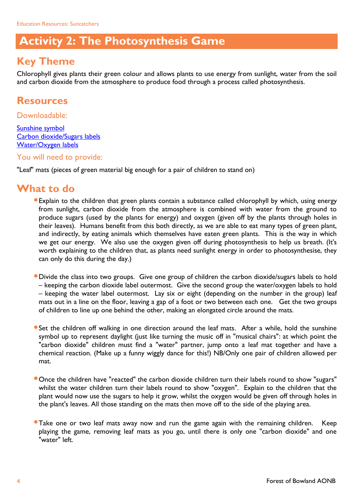## **Activity 2: The Photosynthesis Game**

## **Key Theme**

Chlorophyll gives plants their green colour and allows plants to use energy from sunlight, water from the soil and carbon dioxide from the atmosphere to produce food through a process called photosynthesis.

## **Resources**

Downloadable:

[Sunshine symbol](http://www.forestofbowland.com/files/uploads/education/sunshine_symbol.doc) [Carbon dioxide/Sugars labels](http://www.forestofbowland.com/files/uploads/education/carbondioxideandsugars_labelmaster.pub) [Water/Oxygen labels](http://www.forestofbowland.com/files/uploads/education/waterandoxygen_labelmaster.pub)

You will need to provide:

"Leaf" mats (pieces of green material big enough for a pair of children to stand on)

- Explain to the children that green plants contain a substance called chlorophyll by which, using energy from sunlight, carbon dioxide from the atmosphere is combined with water from the ground to produce sugars (used by the plants for energy) and oxygen (given off by the plants through holes in their leaves). Humans benefit from this both directly, as we are able to eat many types of green plant, and indirectly, by eating animals which themselves have eaten green plants. This is the way in which we get our energy. We also use the oxygen given off during photosynthesis to help us breath. (It's worth explaining to the children that, as plants need sunlight energy in order to photosynthesise, they can only do this during the day.)
- Divide the class into two groups. Give one group of children the carbon dioxide/sugars labels to hold – keeping the carbon dioxide label outermost. Give the second group the water/oxygen labels to hold – keeping the water label outermost. Lay six or eight (depending on the number in the group) leaf mats out in a line on the floor, leaving a gap of a foot or two between each one. Get the two groups of children to line up one behind the other, making an elongated circle around the mats.
- **Set the children off walking in one direction around the leaf mats. After a while, hold the sunshine** symbol up to represent daylight (just like turning the music off in "musical chairs": at which point the "carbon dioxide" children must find a "water" partner, jump onto a leaf mat together and have a chemical reaction. (Make up a funny wiggly dance for this!) NB/Only one pair of children allowed per mat.
- Once the children have "reacted" the carbon dioxide children turn their labels round to show "sugars" whilst the water children turn their labels round to show "oxygen". Explain to the children that the plant would now use the sugars to help it grow, whilst the oxygen would be given off through holes in the plant's leaves. All those standing on the mats then move off to the side of the playing area.
- **Take one or two leaf mats away now and run the game again with the remaining children.** Keep playing the game, removing leaf mats as you go, until there is only one "carbon dioxide" and one "water" left.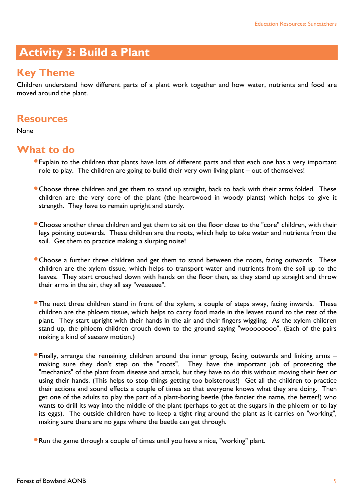## **Activity 3: Build a Plant**

## **Key Theme**

Children understand how different parts of a plant work together and how water, nutrients and food are moved around the plant.

#### **Resources**

None

- Explain to the children that plants have lots of different parts and that each one has a very important role to play. The children are going to build their very own living plant – out of themselves!
- Choose three children and get them to stand up straight, back to back with their arms folded. These children are the very core of the plant (the heartwood in woody plants) which helps to give it strength. They have to remain upright and sturdy.
- Choose another three children and get them to sit on the floor close to the "core" children, with their legs pointing outwards. These children are the roots, which help to take water and nutrients from the soil. Get them to practice making a slurping noise!
- Choose a further three children and get them to stand between the roots, facing outwards. These children are the xylem tissue, which helps to transport water and nutrients from the soil up to the leaves. They start crouched down with hands on the floor then, as they stand up straight and throw their arms in the air, they all say "weeeeee".
- **The next three children stand in front of the xylem, a couple of steps away, facing inwards.** These children are the phloem tissue, which helps to carry food made in the leaves round to the rest of the plant. They start upright with their hands in the air and their fingers wiggling. As the xylem children stand up, the phloem children crouch down to the ground saying "woooooooo". (Each of the pairs making a kind of seesaw motion.)
- Finally, arrange the remaining children around the inner group, facing outwards and linking arms making sure they don't step on the "roots". They have the important job of protecting the "mechanics" of the plant from disease and attack, but they have to do this without moving their feet or using their hands. (This helps to stop things getting too boisterous!) Get all the children to practice their actions and sound effects a couple of times so that everyone knows what they are doing. Then get one of the adults to play the part of a plant-boring beetle (the fancier the name, the better!) who wants to drill its way into the middle of the plant (perhaps to get at the sugars in the phloem or to lay its eggs). The outside children have to keep a tight ring around the plant as it carries on "working", making sure there are no gaps where the beetle can get through.
- Run the game through a couple of times until you have a nice, "working" plant.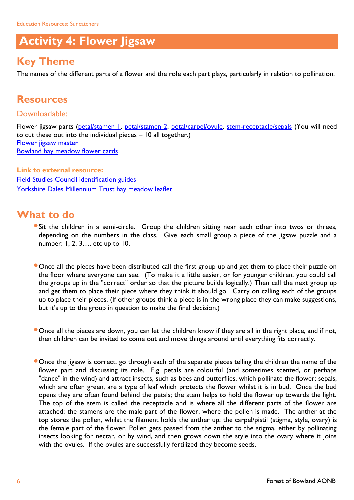## **Activity 4: Flower Jigsaw**

## **Key Theme**

The names of the different parts of a flower and the role each part plays, particularly in relation to pollination.

## **Resources**

Downloadable:

Flower jigsaw parts [\(petal/stamen 1,](http://www.forestofbowland.com/files/uploads/education/flowerjigsaw_petalstamen1.pdf) [petal/stamen 2,](http://www.forestofbowland.com/files/uploads/education/flowerjigsaw_petalstamen2.pdf) [petal/carpel/ovule,](http://www.forestofbowland.com/files/uploads/education/flowerjigsaw_petalcarpelovule.pdf) [stem-receptacle/sepals](http://www.forestofbowland.com/files/uploads/education/flowerjigsaw_stemreceptaclesepals.pdf) (You will need to cut these out into the individual pieces – 10 all together.) [Flower jigsaw master](http://www.forestofbowland.com/files/uploads/education/flowerjigsaw_master.pdf) [Bowland hay meadow flower cards](http://www.forestofbowland.com/files/uploads/education/bowlandhaymeadow_flowercards.doc)

**Link to external resource:** [Field Studies Council identification guides](http://www.field-studies-council.org/publications/identification-charts.aspx) [Yorkshire Dales Millennium Trust hay meadow leaflet](http://www.ydmt.org/assets/x/51070)

- Sit the children in a semi-circle. Group the children sitting near each other into twos or threes, depending on the numbers in the class. Give each small group a piece of the jigsaw puzzle and a number: 1, 2, 3…. etc up to 10.
- **Once all the pieces have been distributed call the first group up and get them to place their puzzle on** the floor where everyone can see. (To make it a little easier, or for younger children, you could call the groups up in the "correct" order so that the picture builds logically.) Then call the next group up and get them to place their piece where they think it should go. Carry on calling each of the groups up to place their pieces. (If other groups think a piece is in the wrong place they can make suggestions, but it's up to the group in question to make the final decision.)
- Once all the pieces are down, you can let the children know if they are all in the right place, and if not, then children can be invited to come out and move things around until everything fits correctly.
- **Once the jigsaw is correct, go through each of the separate pieces telling the children the name of the** flower part and discussing its role. E.g. petals are colourful (and sometimes scented, or perhaps "dance" in the wind) and attract insects, such as bees and butterflies, which pollinate the flower; sepals, which are often green, are a type of leaf which protects the flower whilst it is in bud. Once the bud opens they are often found behind the petals; the stem helps to hold the flower up towards the light. The top of the stem is called the receptacle and is where all the different parts of the flower are attached; the stamens are the male part of the flower, where the pollen is made. The anther at the top stores the pollen, whilst the filament holds the anther up; the carpel/pistil (stigma, style, ovary) is the female part of the flower. Pollen gets passed from the anther to the stigma, either by pollinating insects looking for nectar, or by wind, and then grows down the style into the ovary where it joins with the ovules. If the ovules are successfully fertilized they become seeds.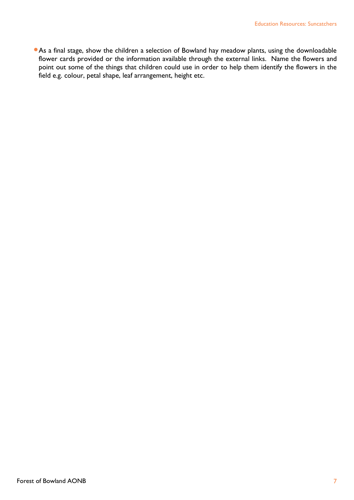As a final stage, show the children a selection of Bowland hay meadow plants, using the downloadable flower cards provided or the information available through the external links. Name the flowers and point out some of the things that children could use in order to help them identify the flowers in the field e.g. colour, petal shape, leaf arrangement, height etc.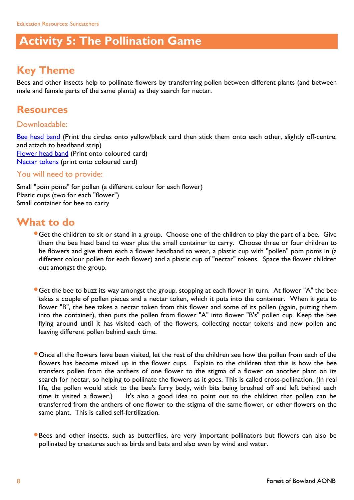## **Activity 5: The Pollination Game**

## **Key Theme**

Bees and other insects help to pollinate flowers by transferring pollen between different plants (and between male and female parts of the same plants) as they search for nectar.

## **Resources**

#### Downloadable:

[Bee head band](http://www.forestofbowland.com/files/uploads/education/beeheadband_template.pdf) (Print the circles onto yellow/black card then stick them onto each other, slightly off-centre, and attach to headband strip) [Flower head band](http://www.forestofbowland.com/files/uploads/education/flowerheadband_template.pdf) (Print onto coloured card) [Nectar tokens](http://www.forestofbowland.com/files/uploads/education/nectar_tokens.doc) (print onto coloured card)

#### You will need to provide:

Small "pom poms" for pollen (a different colour for each flower) Plastic cups (two for each "flower") Small container for bee to carry

- **Get the children to sit or stand in a group. Choose one of the children to play the part of a bee. Give** them the bee head band to wear plus the small container to carry. Choose three or four children to be flowers and give them each a flower headband to wear, a plastic cup with "pollen" pom poms in (a different colour pollen for each flower) and a plastic cup of "nectar" tokens. Space the flower children out amongst the group.
- **Get the bee to buzz its way amongst the group, stopping at each flower in turn. At flower "A" the bee** takes a couple of pollen pieces and a nectar token, which it puts into the container. When it gets to flower "B", the bee takes a nectar token from this flower and some of its pollen (again, putting them into the container), then puts the pollen from flower "A" into flower "B's" pollen cup. Keep the bee flying around until it has visited each of the flowers, collecting nectar tokens and new pollen and leaving different pollen behind each time.
- **Once all the flowers have been visited, let the rest of the children see how the pollen from each of the** flowers has become mixed up in the flower cups. Explain to the children that this is how the bee transfers pollen from the anthers of one flower to the stigma of a flower on another plant on its search for nectar, so helping to pollinate the flowers as it goes. This is called cross-pollination. (In real life, the pollen would stick to the bee's furry body, with bits being brushed off and left behind each time it visited a flower.) It's also a good idea to point out to the children that pollen can be transferred from the anthers of one flower to the stigma of the same flower, or other flowers on the same plant. This is called self-fertilization.
- Bees and other insects, such as butterflies, are very important pollinators but flowers can also be pollinated by creatures such as birds and bats and also even by wind and water.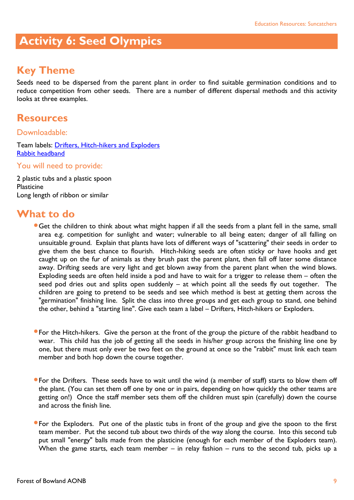## **Activity 6: Seed Olympics**

## **Key Theme**

Seeds need to be dispersed from the parent plant in order to find suitable germination conditions and to reduce competition from other seeds. There are a number of different dispersal methods and this activity looks at three examples.

#### **Resources**

#### Downloadable:

Team labels: [Drifters, Hitch-hikers and Exploders](http://www.forestofbowland.com/files/uploads/education/drifters_exploders_hitchhikers.doc) [Rabbit headband](http://www.forestofbowland.com/files/uploads/education/rabbitheadband_template.pdf)

#### You will need to provide:

2 plastic tubs and a plastic spoon Plasticine Long length of ribbon or similar

- Get the children to think about what might happen if all the seeds from a plant fell in the same, small area e.g. competition for sunlight and water; vulnerable to all being eaten; danger of all falling on unsuitable ground. Explain that plants have lots of different ways of "scattering" their seeds in order to give them the best chance to flourish. Hitch-hiking seeds are often sticky or have hooks and get caught up on the fur of animals as they brush past the parent plant, then fall off later some distance away. Drifting seeds are very light and get blown away from the parent plant when the wind blows. Exploding seeds are often held inside a pod and have to wait for a trigger to release them – often the seed pod dries out and splits open suddenly – at which point all the seeds fly out together. The children are going to pretend to be seeds and see which method is best at getting them across the "germination" finishing line. Split the class into three groups and get each group to stand, one behind the other, behind a "starting line". Give each team a label – Drifters, Hitch-hikers or Exploders.
- For the Hitch-hikers. Give the person at the front of the group the picture of the rabbit headband to wear. This child has the job of getting all the seeds in his/her group across the finishing line one by one, but there must only ever be two feet on the ground at once so the "rabbit" must link each team member and both hop down the course together.
- For the Drifters. These seeds have to wait until the wind (a member of staff) starts to blow them off the plant. (You can set them off one by one or in pairs, depending on how quickly the other teams are getting on!) Once the staff member sets them off the children must spin (carefully) down the course and across the finish line.
- **•** For the Exploders. Put one of the plastic tubs in front of the group and give the spoon to the first team member. Put the second tub about two thirds of the way along the course. Into this second tub put small "energy" balls made from the plasticine (enough for each member of the Exploders team). When the game starts, each team member – in relay fashion – runs to the second tub, picks up a